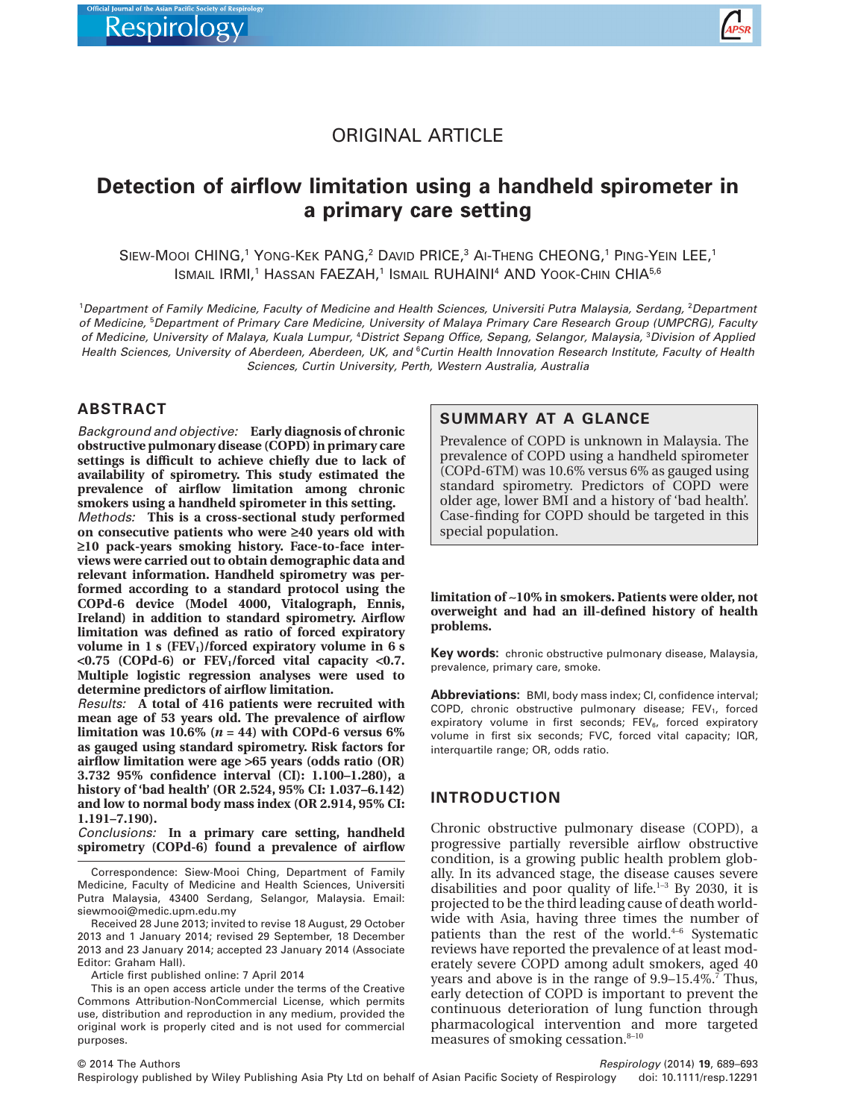

## ORIGINAL ARTICLE

# **Detection of airflow limitation using a handheld spirometer in a primary care setting**

SIEW-MOOI CHING,<sup>1</sup> YONG-KEK PANG,<sup>2</sup> DAVID PRICE,<sup>3</sup> AI-THENG CHEONG,<sup>1</sup> PING-YEIN LEE,<sup>1</sup> ISMAIL IRMI,<sup>1</sup> HASSAN FAEZAH,<sup>1</sup> ISMAIL RUHAINI<sup>4</sup> AND YOOK-CHIN CHIA<sup>5,6</sup>

1 *Department of Family Medicine, Faculty of Medicine and Health Sciences, Universiti Putra Malaysia, Serdang,* <sup>2</sup> *Department of Medicine,* <sup>5</sup> *Department of Primary Care Medicine, University of Malaya Primary Care Research Group (UMPCRG), Faculty of Medicine, University of Malaya, Kuala Lumpur,* <sup>4</sup> *District Sepang Office, Sepang, Selangor, Malaysia,* <sup>3</sup> *Division of Applied Health Sciences, University of Aberdeen, Aberdeen, UK, and* <sup>6</sup> *Curtin Health Innovation Research Institute, Faculty of Health Sciences, Curtin University, Perth, Western Australia, Australia*

## **ABSTRACT**

*Background and objective:* **Early diagnosis of chronic obstructive pulmonary disease (COPD) in primary care settings is difficult to achieve chiefly due to lack of availability of spirometry. This study estimated the prevalence of airflow limitation among chronic smokers using a handheld spirometer in this setting.** *Methods:* **This is a cross-sectional study performed on consecutive patients who were ≥40 years old with ≥10 pack-years smoking history. Face-to-face interviews were carried out to obtain demographic data and relevant information. Handheld spirometry was performed according to a standard protocol using the COPd-6 device (Model 4000, Vitalograph, Ennis, Ireland) in addition to standard spirometry. Airflow**

**limitation was defined as ratio of forced expiratory** volume in 1 s (FEV<sub>1</sub>)/forced expiratory volume in 6 s **<0.75 (COPd-6) or FEV1/forced vital capacity <0.7. Multiple logistic regression analyses were used to determine predictors of airflow limitation.**

*Results:* **A total of 416 patients were recruited with mean age of 53 years old. The prevalence of airflow limitation was 10.6%**  $(n = 44)$  with COPd-6 versus 6% **as gauged using standard spirometry. Risk factors for airflow limitation were age >65 years (odds ratio (OR) 3.732 95% confidence interval (CI): 1.100–1.280), a history of 'bad health' (OR 2.524, 95% CI: 1.037–6.142) and low to normal body mass index (OR 2.914, 95% CI: 1.191–7.190).**

*Conclusions:* **In a primary care setting, handheld spirometry (COPd-6) found a prevalence of airflow**

Correspondence: Siew-Mooi Ching, Department of Family Medicine, Faculty of Medicine and Health Sciences, Universiti Putra Malaysia, 43400 Serdang, Selangor, Malaysia. Email: [siewmooi@medic.upm.edu.my](mailto:siewmooi@medic.upm.edu.my)

Received 28 June 2013; invited to revise 18 August, 29 October 2013 and 1 January 2014; revised 29 September, 18 December 2013 and 23 January 2014; accepted 23 January 2014 (Associate Editor: Graham Hall).

Article first published online: 7 April 2014

This is an open access article under the terms of the [Creative](http://creativecommons.org/licenses/by-nc/3.0/) [Commons Attribution-NonCommercial](http://creativecommons.org/licenses/by-nc/3.0/) License, which permits use, distribution and reproduction in any medium, provided the original work is properly cited and is not used for commercial purposes.

## **SUMMARY AT A GLANCE**

Prevalence of COPD is unknown in Malaysia. The prevalence of COPD using a handheld spirometer (COPd-6TM) was 10.6% versus 6% as gauged using standard spirometry. Predictors of COPD were older age, lower BMI and a history of 'bad health'. Case-finding for COPD should be targeted in this special population.

**limitation of ∼10% in smokers. Patients were older, not overweight and had an ill-defined history of health problems.**

**Key words:** chronic obstructive pulmonary disease, Malaysia, prevalence, primary care, smoke.

**Abbreviations:** BMI, body mass index; CI, confidence interval; COPD, chronic obstructive pulmonary disease;  $FEV<sub>1</sub>$ , forced expiratory volume in first seconds;  $FEV<sub>6</sub>$ , forced expiratory volume in first six seconds; FVC, forced vital capacity; IQR, interquartile range; OR, odds ratio.

## **INTRODUCTION**

Chronic obstructive pulmonary disease (COPD), a progressive partially reversible airflow obstructive condition, is a growing public health problem globally. In its advanced stage, the disease causes severe disabilities and poor quality of life. $1-3$  By 2030, it is projected to be the third leading cause of death worldwide with Asia, having three times the number of patients than the rest of the world. $4-6$  Systematic reviews have reported the prevalence of at least moderately severe COPD among adult smokers, aged 40 years and above is in the range of  $9.9-15.4\%$ .<sup>7</sup> Thus, early detection of COPD is important to prevent the continuous deterioration of lung function through pharmacological intervention and more targeted measures of smoking cessation.<sup>8-10</sup>

© 2014 The Authors

*Respirology* (2014) **19**, 689–693

Respirology published by Wiley Publishing Asia Pty Ltd on behalf of Asian Pacific Society of Respirology doi: 10.1111/resp.12291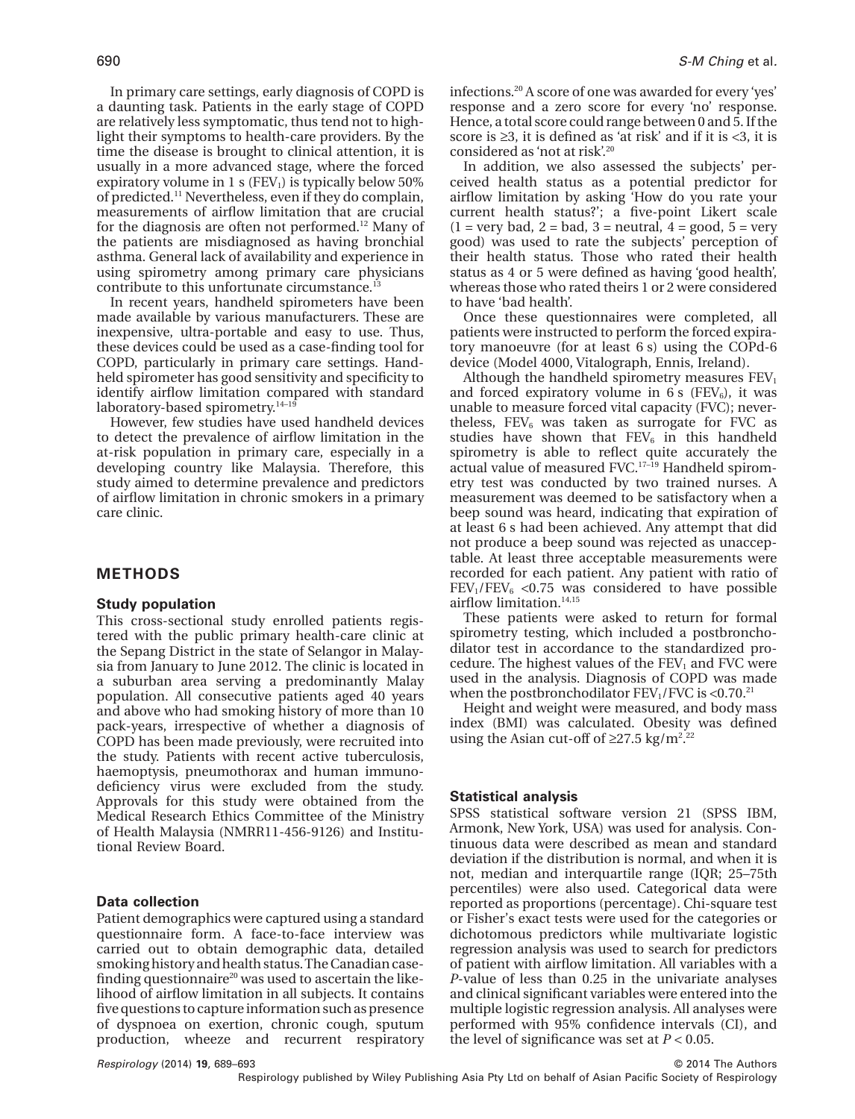In primary care settings, early diagnosis of COPD is a daunting task. Patients in the early stage of COPD are relatively less symptomatic, thus tend not to highlight their symptoms to health-care providers. By the time the disease is brought to clinical attention, it is usually in a more advanced stage, where the forced expiratory volume in 1 s (FEV<sub>1</sub>) is typically below  $50\%$ of predicted.11 Nevertheless, even if they do complain, measurements of airflow limitation that are crucial for the diagnosis are often not performed.<sup>12</sup> Many of the patients are misdiagnosed as having bronchial asthma. General lack of availability and experience in using spirometry among primary care physicians contribute to this unfortunate circumstance.13

In recent years, handheld spirometers have been made available by various manufacturers. These are inexpensive, ultra-portable and easy to use. Thus, these devices could be used as a case-finding tool for COPD, particularly in primary care settings. Handheld spirometer has good sensitivity and specificity to identify airflow limitation compared with standard laboratory-based spirometry.<sup>14-19</sup>

However, few studies have used handheld devices to detect the prevalence of airflow limitation in the at-risk population in primary care, especially in a developing country like Malaysia. Therefore, this study aimed to determine prevalence and predictors of airflow limitation in chronic smokers in a primary care clinic.

## **METHODS**

#### **Study population**

This cross-sectional study enrolled patients registered with the public primary health-care clinic at the Sepang District in the state of Selangor in Malaysia from January to June 2012. The clinic is located in a suburban area serving a predominantly Malay population. All consecutive patients aged 40 years and above who had smoking history of more than 10 pack-years, irrespective of whether a diagnosis of COPD has been made previously, were recruited into the study. Patients with recent active tuberculosis, haemoptysis, pneumothorax and human immunodeficiency virus were excluded from the study. Approvals for this study were obtained from the Medical Research Ethics Committee of the Ministry of Health Malaysia (NMRR11-456-9126) and Institutional Review Board.

#### **Data collection**

Patient demographics were captured using a standard questionnaire form. A face-to-face interview was carried out to obtain demographic data, detailed smoking history and health status.The Canadian casefinding questionnaire<sup>20</sup> was used to ascertain the likelihood of airflow limitation in all subjects. It contains five questions to capture information such as presence of dyspnoea on exertion, chronic cough, sputum production, wheeze and recurrent respiratory infections.20 A score of one was awarded for every 'yes' response and a zero score for every 'no' response. Hence, a total score could range between 0 and 5. If the score is  $\geq 3$ , it is defined as 'at risk' and if it is  $\lt 3$ , it is considered as 'not at risk'.20

In addition, we also assessed the subjects' perceived health status as a potential predictor for airflow limitation by asking 'How do you rate your current health status?'; a five-point Likert scale  $(1 = \text{very bad}, 2 = \text{bad}, 3 = \text{neutral}, 4 = \text{good}, 5 = \text{very}$ good) was used to rate the subjects' perception of their health status. Those who rated their health status as 4 or 5 were defined as having 'good health', whereas those who rated theirs 1 or 2 were considered to have 'bad health'.

Once these questionnaires were completed, all patients were instructed to perform the forced expiratory manoeuvre (for at least 6 s) using the COPd-6 device (Model 4000, Vitalograph, Ennis, Ireland).

Although the handheld spirometry measures  $FEV<sub>1</sub>$ and forced expiratory volume in  $6 s$  (FEV<sub>6</sub>), it was unable to measure forced vital capacity (FVC); nevertheless,  $FEV_6$  was taken as surrogate for FVC as studies have shown that  $FEV<sub>6</sub>$  in this handheld spirometry is able to reflect quite accurately the actual value of measured FVC.17–19 Handheld spirometry test was conducted by two trained nurses. A measurement was deemed to be satisfactory when a beep sound was heard, indicating that expiration of at least 6 s had been achieved. Any attempt that did not produce a beep sound was rejected as unacceptable. At least three acceptable measurements were recorded for each patient. Any patient with ratio of  $FEV<sub>1</sub>/FEV<sub>6</sub> < 0.75$  was considered to have possible airflow limitation. $^{\rm 14,15}$ 

These patients were asked to return for formal spirometry testing, which included a postbronchodilator test in accordance to the standardized procedure. The highest values of the  $FEV<sub>1</sub>$  and FVC were used in the analysis. Diagnosis of COPD was made when the postbronchodilator  $FEV<sub>1</sub>/FVC$  is <0.70.<sup>21</sup>

Height and weight were measured, and body mass index (BMI) was calculated. Obesity was defined using the Asian cut-off of  $\geq$ 27.5 kg/m<sup>2.22</sup>

#### **Statistical analysis**

SPSS statistical software version 21 (SPSS IBM, Armonk, New York, USA) was used for analysis. Continuous data were described as mean and standard deviation if the distribution is normal, and when it is not, median and interquartile range (IQR; 25–75th percentiles) were also used. Categorical data were reported as proportions (percentage). Chi-square test or Fisher's exact tests were used for the categories or dichotomous predictors while multivariate logistic regression analysis was used to search for predictors of patient with airflow limitation. All variables with a *P*-value of less than 0.25 in the univariate analyses and clinical significant variables were entered into the multiple logistic regression analysis. All analyses were performed with 95% confidence intervals (CI), and the level of significance was set at  $P < 0.05$ .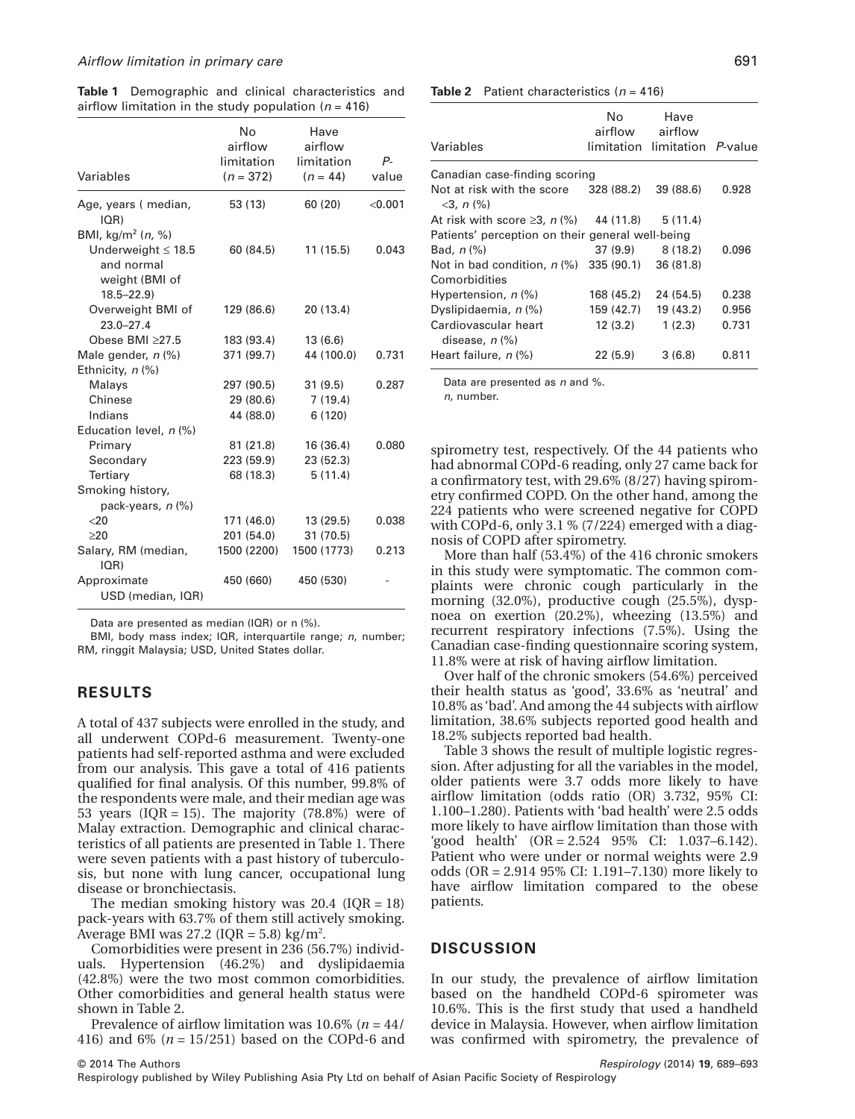**Table 1** Demographic and clinical characteristics and airflow limitation in the study population  $(n = 416)$ 

| Variables                                                                                                 | No<br>airflow<br>limitation<br>$(n = 372)$ | Have<br>airflow<br>limitation<br>$(n = 44)$ | P-<br>value |
|-----------------------------------------------------------------------------------------------------------|--------------------------------------------|---------------------------------------------|-------------|
| Age, years (median,<br>$ QR\rangle$                                                                       | 53 (13)                                    | 60 (20)                                     | < 0.001     |
| BMI, $kg/m^2$ ( <i>n</i> , %)<br>Underweight $\leq 18.5$<br>and normal<br>weight (BMI of<br>$18.5 - 22.9$ | 60 (84.5)                                  | 11(15.5)                                    | 0.043       |
| Overweight BMI of<br>$23.0 - 27.4$                                                                        | 129 (86.6)                                 | 20(13.4)                                    |             |
| Obese $BMI \geq 27.5$                                                                                     | 183 (93.4)                                 | 13(6.6)                                     |             |
| Male gender, n (%)                                                                                        | 371 (99.7)                                 | 44 (100.0)                                  | 0.731       |
| Ethnicity, $n$ (%)                                                                                        |                                            |                                             |             |
| Malays                                                                                                    | 297 (90.5)                                 | 31(9.5)                                     | 0.287       |
| Chinese                                                                                                   | 29 (80.6)                                  | 7(19.4)                                     |             |
| Indians                                                                                                   | 44 (88.0)                                  | 6(120)                                      |             |
| Education level, $n$ (%)                                                                                  |                                            |                                             |             |
| Primary                                                                                                   | 81 (21.8)                                  | 16 (36.4)                                   | 0.080       |
| Secondary                                                                                                 | 223 (59.9)                                 | 23 (52.3)                                   |             |
| Tertiary                                                                                                  | 68 (18.3)                                  | 5(11.4)                                     |             |
| Smoking history,<br>pack-years, $n$ (%)                                                                   |                                            |                                             |             |
| $<$ 20                                                                                                    | 171 (46.0)                                 | 13 (29.5)                                   | 0.038       |
| >20                                                                                                       | 201 (54.0)                                 | 31(70.5)                                    |             |
| Salary, RM (median,<br>IOR)                                                                               | 1500 (2200)                                | 1500 (1773)                                 | 0.213       |
| Approximate<br>USD (median, IQR)                                                                          | 450 (660)                                  | 450 (530)                                   |             |

Data are presented as median (IQR) or n (%).

BMI, body mass index; IQR, interquartile range; *n*, number; RM, ringgit Malaysia; USD, United States dollar.

#### **RESULTS**

A total of 437 subjects were enrolled in the study, and all underwent COPd-6 measurement. Twenty-one patients had self-reported asthma and were excluded from our analysis. This gave a total of 416 patients qualified for final analysis. Of this number, 99.8% of the respondents were male, and their median age was 53 years (IOR = 15). The majority (78.8%) were of Malay extraction. Demographic and clinical characteristics of all patients are presented in Table 1. There were seven patients with a past history of tuberculosis, but none with lung cancer, occupational lung disease or bronchiectasis.

The median smoking history was  $20.4$  (IQR = 18) pack-years with 63.7% of them still actively smoking. Average BMI was  $27.2$  (IQR = 5.8) kg/m<sup>2</sup>.

Comorbidities were present in 236 (56.7%) individuals. Hypertension (46.2%) and dyslipidaemia (42.8%) were the two most common comorbidities. Other comorbidities and general health status were shown in Table 2.

Prevalence of airflow limitation was 10.6% (*n* = 44/ 416) and 6% (*n* = 15/251) based on the COPd-6 and **Table 2** Patient characteristics (*n* = 416)

| Variables                                               | No.<br>airflow        | Have<br>airflow<br>limitation limitation P-value |       |
|---------------------------------------------------------|-----------------------|--------------------------------------------------|-------|
| Canadian case-finding scoring                           |                       |                                                  |       |
| Not at risk with the score<br>$<$ 3, n $\frac{9}{6}$    | 328 (88.2)            | 39(88.6)                                         | 0.928 |
| At risk with score $\geq 3$ , n (%) 44 (11.8) 5 (11.4)  |                       |                                                  |       |
| Patients' perception on their general well-being        |                       |                                                  |       |
| Bad. $n$ $\%$ )                                         | 37 (9.9)              | 8(18.2)                                          | 0.096 |
| Not in bad condition, $n$ (%)                           | $335(90.1)$ 36 (81.8) |                                                  |       |
| Comorbidities                                           |                       |                                                  |       |
| Hypertension, $n$ (%)                                   | 168 (45.2)            | 24 (54.5)                                        | 0.238 |
| Dyslipidaemia, n (%)                                    | 159 (42.7)            | 19 (43.2)                                        | 0.956 |
| Cardiovascular heart<br>disease, $n$ $\left(\% \right)$ | 12(3.2)               | 1(2.3)                                           | 0.731 |
| Heart failure, n (%)                                    | 22(5.9)               | 3(6.8)                                           | 0.811 |

Data are presented as *n* and %.

*n*, number.

spirometry test, respectively. Of the 44 patients who had abnormal COPd-6 reading, only 27 came back for a confirmatory test, with 29.6% (8/27) having spirometry confirmed COPD. On the other hand, among the 224 patients who were screened negative for COPD with COPd-6, only 3.1 % (7/224) emerged with a diagnosis of COPD after spirometry.

More than half (53.4%) of the 416 chronic smokers in this study were symptomatic. The common complaints were chronic cough particularly in the morning (32.0%), productive cough (25.5%), dyspnoea on exertion (20.2%), wheezing (13.5%) and recurrent respiratory infections (7.5%). Using the Canadian case-finding questionnaire scoring system, 11.8% were at risk of having airflow limitation.

Over half of the chronic smokers (54.6%) perceived their health status as 'good', 33.6% as 'neutral' and 10.8% as 'bad'. And among the 44 subjects with airflow limitation, 38.6% subjects reported good health and 18.2% subjects reported bad health.

Table 3 shows the result of multiple logistic regression. After adjusting for all the variables in the model, older patients were 3.7 odds more likely to have airflow limitation (odds ratio (OR) 3.732, 95% CI: 1.100–1.280). Patients with 'bad health' were 2.5 odds more likely to have airflow limitation than those with 'good health' (OR = 2.524 95% CI: 1.037–6.142). Patient who were under or normal weights were 2.9 odds (OR = 2.914 95% CI: 1.191–7.130) more likely to have airflow limitation compared to the obese patients.

#### **DISCUSSION**

In our study, the prevalence of airflow limitation based on the handheld COPd-6 spirometer was 10.6%. This is the first study that used a handheld device in Malaysia. However, when airflow limitation was confirmed with spirometry, the prevalence of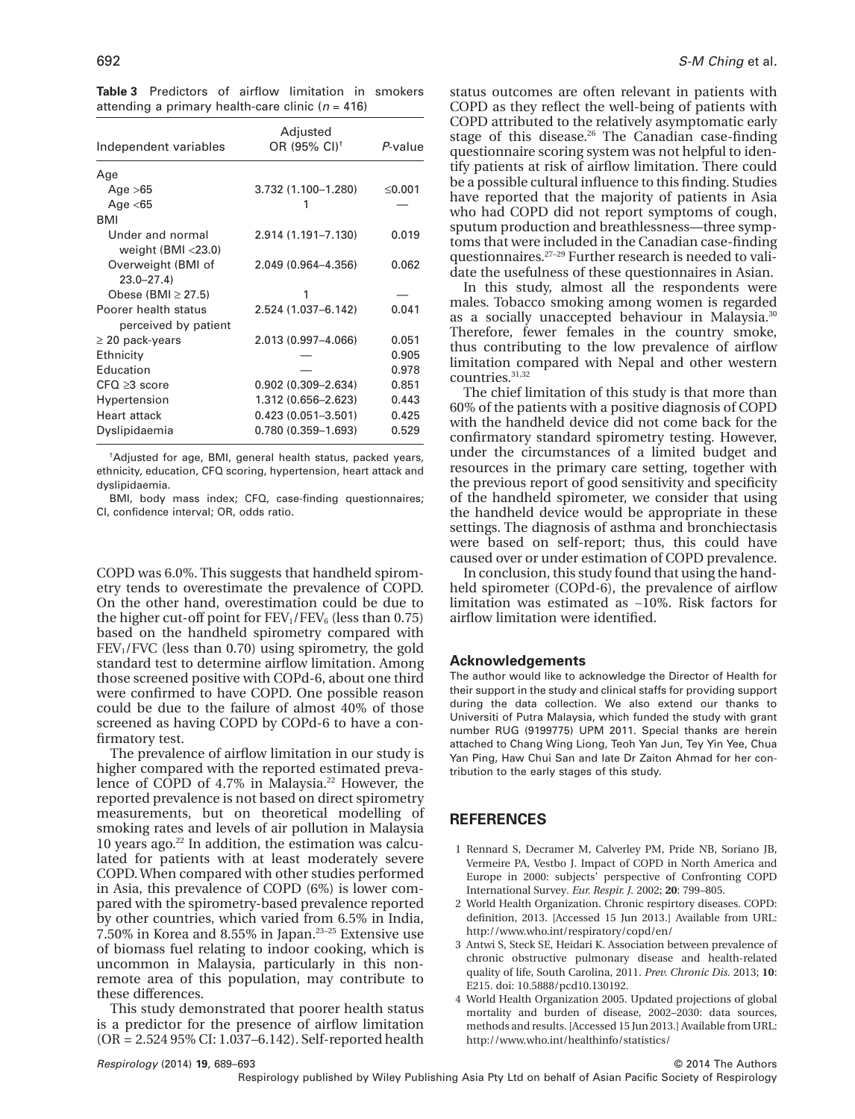**Table 3** Predictors of airflow limitation in smokers attending a primary health-care clinic (*n* = 416)

| Independent variables                        | Adjusted<br>OR (95% CI) <sup>+</sup> | P-value |
|----------------------------------------------|--------------------------------------|---------|
| Age                                          |                                      |         |
| Age $>65$                                    | 3.732 (1.100-1.280)                  | ≤0.001  |
| Age $<$ 65                                   |                                      |         |
| <b>BMI</b>                                   |                                      |         |
| Under and normal<br>weight $(BMI < 23.0)$    | 2.914 (1.191-7.130)                  | 0.019   |
| Overweight (BMI of<br>$23.0 - 27.4$          | 2.049 (0.964-4.356)                  | 0.062   |
| Obese (BMI $\geq$ 27.5)                      | 1                                    |         |
| Poorer health status<br>perceived by patient | 2.524 (1.037-6.142)                  | 0.041   |
| $\geq$ 20 pack-years                         | 2.013 (0.997-4.066)                  | 0.051   |
| Ethnicity                                    |                                      | 0.905   |
| Education                                    |                                      | 0.978   |
| $CFO \geq 3$ score                           | $0.902(0.309 - 2.634)$               | 0.851   |
| Hypertension                                 | 1.312 (0.656-2.623)                  | 0.443   |
| <b>Heart attack</b>                          | $0.423(0.051 - 3.501)$               | 0.425   |
| Dyslipidaemia                                | $0.780(0.359 - 1.693)$               | 0.529   |

† Adjusted for age, BMI, general health status, packed years, ethnicity, education, CFQ scoring, hypertension, heart attack and dyslipidaemia.

BMI, body mass index; CFQ, case-finding questionnaires; CI, confidence interval; OR, odds ratio.

COPD was 6.0%. This suggests that handheld spirometry tends to overestimate the prevalence of COPD. On the other hand, overestimation could be due to the higher cut-off point for  $FEV_1/FEV_6$  (less than 0.75) based on the handheld spirometry compared with  $FEV<sub>1</sub>/FVC$  (less than 0.70) using spirometry, the gold standard test to determine airflow limitation. Among those screened positive with COPd-6, about one third were confirmed to have COPD. One possible reason could be due to the failure of almost 40% of those screened as having COPD by COPd-6 to have a confirmatory test.

The prevalence of airflow limitation in our study is higher compared with the reported estimated prevalence of COPD of 4.7% in Malaysia.<sup>22</sup> However, the reported prevalence is not based on direct spirometry measurements, but on theoretical modelling of smoking rates and levels of air pollution in Malaysia 10 years ago. $22$  In addition, the estimation was calculated for patients with at least moderately severe COPD.When compared with other studies performed in Asia, this prevalence of COPD (6%) is lower compared with the spirometry-based prevalence reported by other countries, which varied from 6.5% in India, 7.50% in Korea and 8.55% in Japan.23–25 Extensive use of biomass fuel relating to indoor cooking, which is uncommon in Malaysia, particularly in this nonremote area of this population, may contribute to these differences.

This study demonstrated that poorer health status is a predictor for the presence of airflow limitation (OR = 2.524 95% CI: 1.037–6.142). Self-reported health status outcomes are often relevant in patients with COPD as they reflect the well-being of patients with COPD attributed to the relatively asymptomatic early stage of this disease.<sup>26</sup> The Canadian case-finding questionnaire scoring system was not helpful to identify patients at risk of airflow limitation. There could be a possible cultural influence to this finding. Studies have reported that the majority of patients in Asia who had COPD did not report symptoms of cough, sputum production and breathlessness—three symptoms that were included in the Canadian case-finding questionnaires.27–29 Further research is needed to validate the usefulness of these questionnaires in Asian.

In this study, almost all the respondents were males. Tobacco smoking among women is regarded as a socially unaccepted behaviour in Malaysia.30 Therefore, fewer females in the country smoke, thus contributing to the low prevalence of airflow limitation compared with Nepal and other western countries.<sup>31,32</sup>

The chief limitation of this study is that more than 60% of the patients with a positive diagnosis of COPD with the handheld device did not come back for the confirmatory standard spirometry testing. However, under the circumstances of a limited budget and resources in the primary care setting, together with the previous report of good sensitivity and specificity of the handheld spirometer, we consider that using the handheld device would be appropriate in these settings. The diagnosis of asthma and bronchiectasis were based on self-report; thus, this could have caused over or under estimation of COPD prevalence.

In conclusion, this study found that using the handheld spirometer (COPd-6), the prevalence of airflow limitation was estimated as ∼10%. Risk factors for airflow limitation were identified.

#### **Acknowledgements**

The author would like to acknowledge the Director of Health for their support in the study and clinical staffs for providing support during the data collection. We also extend our thanks to Universiti of Putra Malaysia, which funded the study with grant number RUG (9199775) UPM 2011. Special thanks are herein attached to Chang Wing Liong, Teoh Yan Jun, Tey Yin Yee, Chua Yan Ping, Haw Chui San and late Dr Zaiton Ahmad for her contribution to the early stages of this study.

## **REFERENCES**

- 1 Rennard S, Decramer M, Calverley PM, Pride NB, Soriano JB, Vermeire PA, Vestbo J. Impact of COPD in North America and Europe in 2000: subjects' perspective of Confronting COPD International Survey. *Eur. Respir. J.* 2002; **20**: 799–805.
- 2 World Health Organization. Chronic respirtory diseases. COPD: definition, 2013. [Accessed 15 Jun 2013.] Available from URL: <http://www.who.int/respiratory/copd/en/>
- 3 Antwi S, Steck SE, Heidari K. Association between prevalence of chronic obstructive pulmonary disease and health-related quality of life, South Carolina, 2011. *Prev. Chronic Dis.* 2013; **10**: E215. doi: 10.5888/pcd10.130192.
- 4 World Health Organization 2005. Updated projections of global mortality and burden of disease, 2002–2030: data sources, methods and results. [Accessed 15 Jun 2013.] Available from URL: <http://www.who.int/healthinfo/statistics/>

© 2014 The Authors